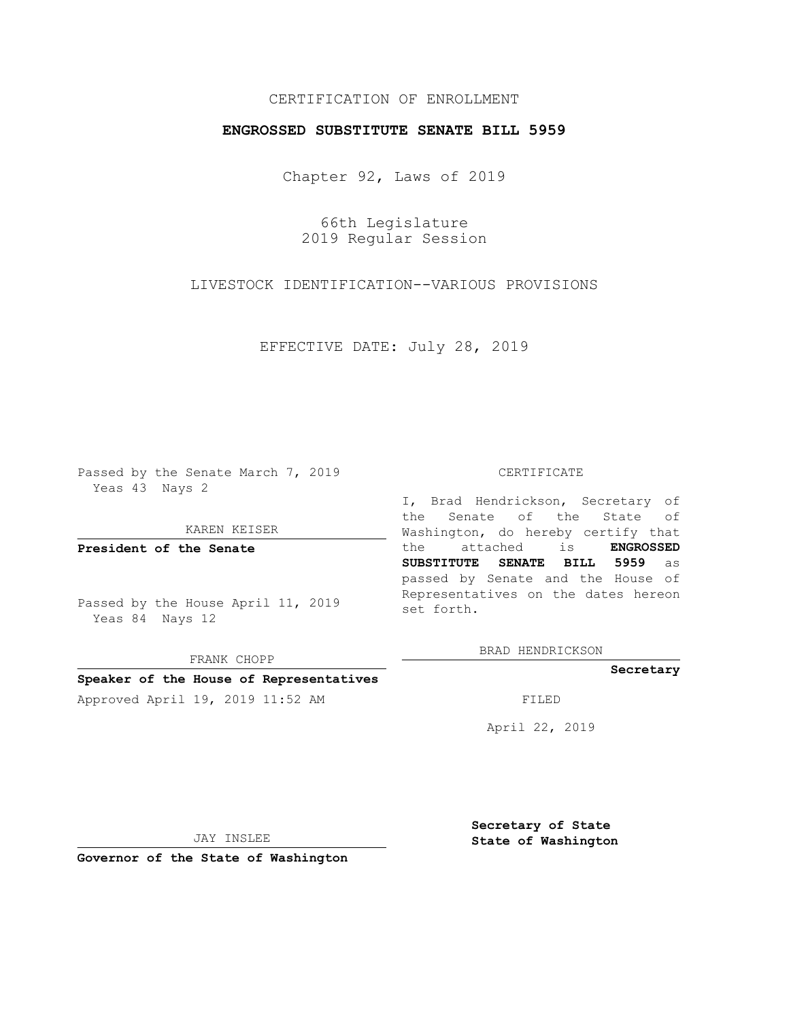# CERTIFICATION OF ENROLLMENT

## **ENGROSSED SUBSTITUTE SENATE BILL 5959**

Chapter 92, Laws of 2019

66th Legislature 2019 Regular Session

LIVESTOCK IDENTIFICATION--VARIOUS PROVISIONS

EFFECTIVE DATE: July 28, 2019

Passed by the Senate March 7, 2019 Yeas 43 Nays 2

KAREN KEISER

**President of the Senate**

Passed by the House April 11, 2019 Yeas 84 Nays 12

FRANK CHOPP

### **Speaker of the House of Representatives**

Approved April 19, 2019 11:52 AM FILED

#### CERTIFICATE

I, Brad Hendrickson, Secretary of the Senate of the State of Washington, do hereby certify that the attached is **ENGROSSED SUBSTITUTE SENATE BILL 5959** as passed by Senate and the House of Representatives on the dates hereon set forth.

BRAD HENDRICKSON

**Secretary**

April 22, 2019

JAY INSLEE

**Governor of the State of Washington**

**Secretary of State State of Washington**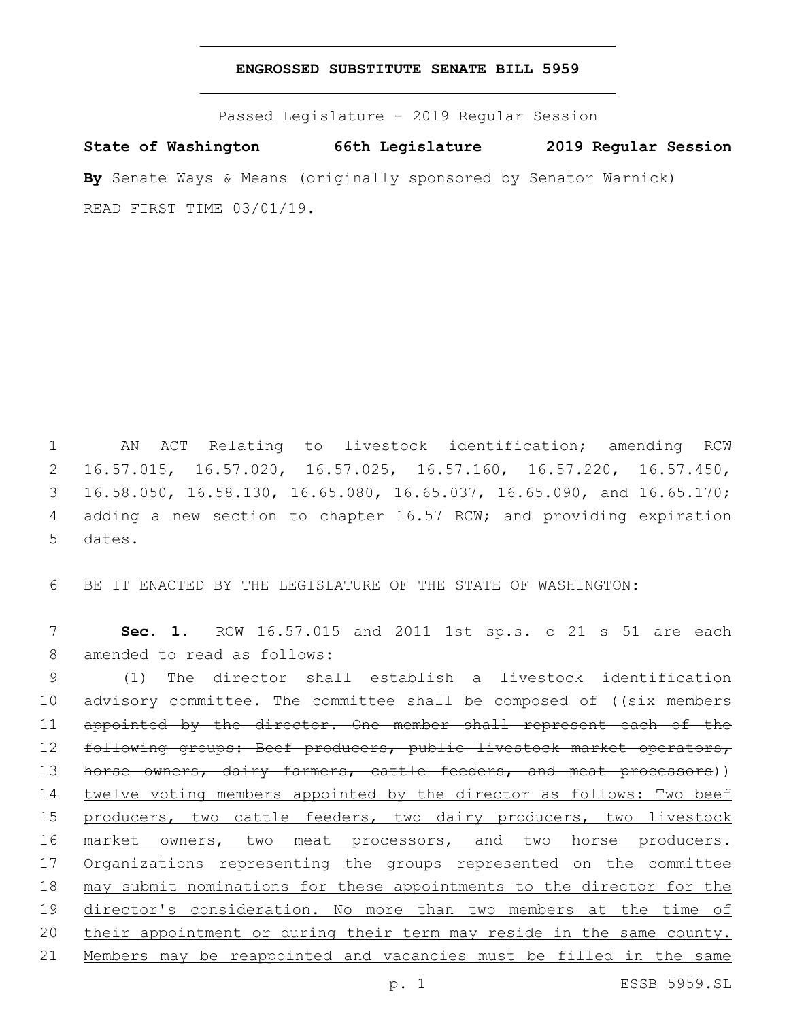### **ENGROSSED SUBSTITUTE SENATE BILL 5959**

Passed Legislature - 2019 Regular Session

**State of Washington 66th Legislature 2019 Regular Session By** Senate Ways & Means (originally sponsored by Senator Warnick) READ FIRST TIME 03/01/19.

 AN ACT Relating to livestock identification; amending RCW 16.57.015, 16.57.020, 16.57.025, 16.57.160, 16.57.220, 16.57.450, 16.58.050, 16.58.130, 16.65.080, 16.65.037, 16.65.090, and 16.65.170; adding a new section to chapter 16.57 RCW; and providing expiration 5 dates.

6 BE IT ENACTED BY THE LEGISLATURE OF THE STATE OF WASHINGTON:

7 **Sec. 1.** RCW 16.57.015 and 2011 1st sp.s. c 21 s 51 are each 8 amended to read as follows:

9 (1) The director shall establish a livestock identification 10 advisory committee. The committee shall be composed of ((six members 11 appointed by the director. One member shall represent each of the 12 following groups: Beef producers, public livestock market operators, 13 horse owners, dairy farmers, cattle feeders, and meat processors)) 14 twelve voting members appointed by the director as follows: Two beef 15 producers, two cattle feeders, two dairy producers, two livestock 16 market owners, two meat processors, and two horse producers. 17 Organizations representing the groups represented on the committee 18 may submit nominations for these appointments to the director for the 19 director's consideration. No more than two members at the time of 20 their appointment or during their term may reside in the same county. 21 Members may be reappointed and vacancies must be filled in the same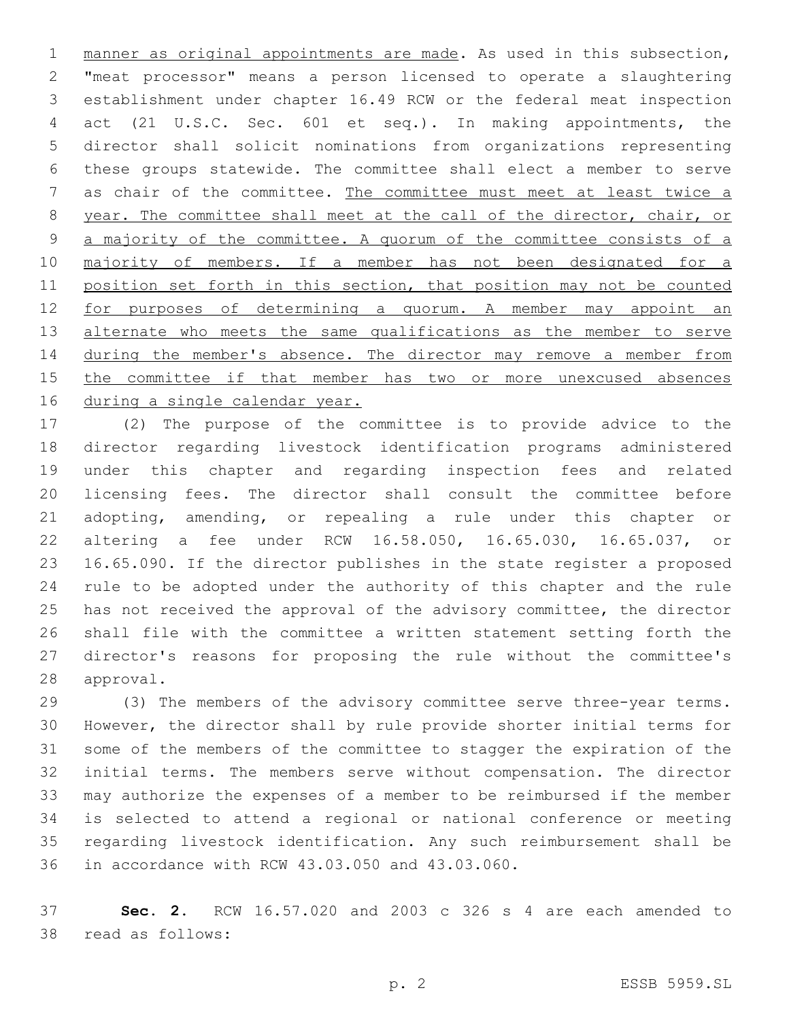manner as original appointments are made. As used in this subsection, "meat processor" means a person licensed to operate a slaughtering establishment under chapter 16.49 RCW or the federal meat inspection act (21 U.S.C. Sec. 601 et seq.). In making appointments, the director shall solicit nominations from organizations representing these groups statewide. The committee shall elect a member to serve as chair of the committee. The committee must meet at least twice a year. The committee shall meet at the call of the director, chair, or 9 a majority of the committee. A quorum of the committee consists of a 10 majority of members. If a member has not been designated for a position set forth in this section, that position may not be counted for purposes of determining a quorum. A member may appoint an 13 alternate who meets the same qualifications as the member to serve 14 during the member's absence. The director may remove a member from the committee if that member has two or more unexcused absences 16 during a single calendar year.

 (2) The purpose of the committee is to provide advice to the director regarding livestock identification programs administered under this chapter and regarding inspection fees and related licensing fees. The director shall consult the committee before adopting, amending, or repealing a rule under this chapter or altering a fee under RCW 16.58.050, 16.65.030, 16.65.037, or 16.65.090. If the director publishes in the state register a proposed rule to be adopted under the authority of this chapter and the rule has not received the approval of the advisory committee, the director shall file with the committee a written statement setting forth the director's reasons for proposing the rule without the committee's 28 approval.

 (3) The members of the advisory committee serve three-year terms. However, the director shall by rule provide shorter initial terms for some of the members of the committee to stagger the expiration of the initial terms. The members serve without compensation. The director may authorize the expenses of a member to be reimbursed if the member is selected to attend a regional or national conference or meeting regarding livestock identification. Any such reimbursement shall be 36 in accordance with RCW 43.03.050 and 43.03.060.

 **Sec. 2.** RCW 16.57.020 and 2003 c 326 s 4 are each amended to 38 read as follows: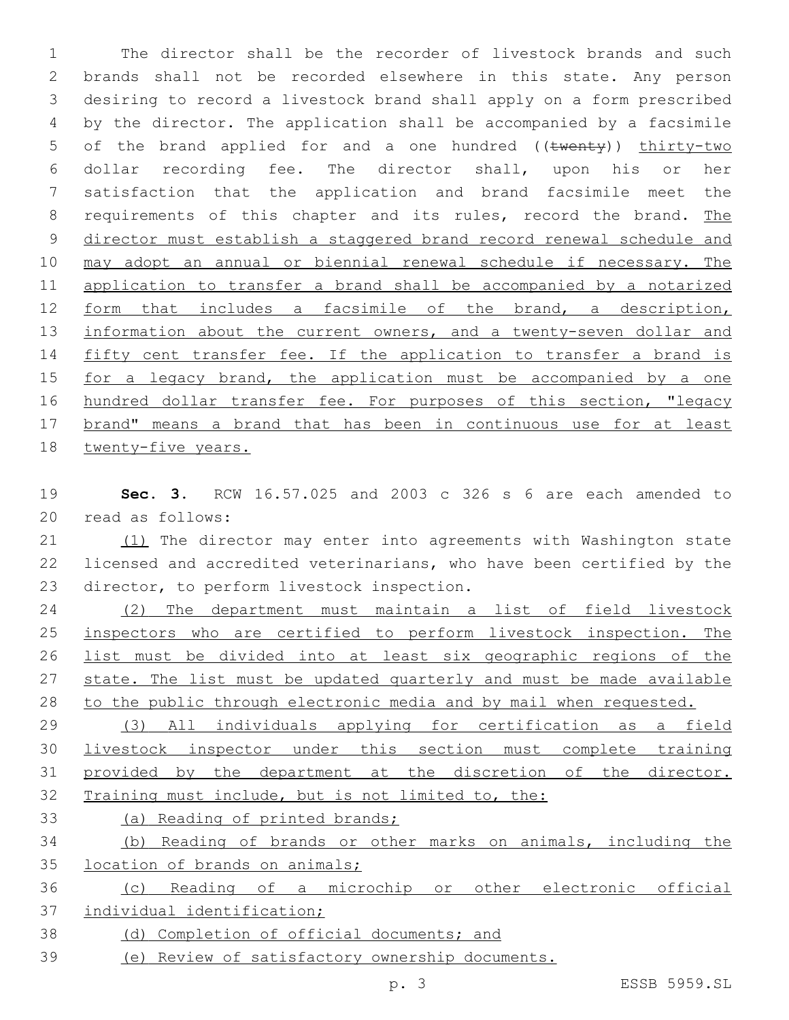The director shall be the recorder of livestock brands and such brands shall not be recorded elsewhere in this state. Any person desiring to record a livestock brand shall apply on a form prescribed by the director. The application shall be accompanied by a facsimile 5 of the brand applied for and a one hundred ((twenty)) thirty-two dollar recording fee. The director shall, upon his or her satisfaction that the application and brand facsimile meet the 8 requirements of this chapter and its rules, record the brand. The director must establish a staggered brand record renewal schedule and may adopt an annual or biennial renewal schedule if necessary. The application to transfer a brand shall be accompanied by a notarized form that includes a facsimile of the brand, a description, 13 information about the current owners, and a twenty-seven dollar and 14 fifty cent transfer fee. If the application to transfer a brand is 15 for a legacy brand, the application must be accompanied by a one 16 hundred dollar transfer fee. For purposes of this section, "legacy brand" means a brand that has been in continuous use for at least twenty-five years.

 **Sec. 3.** RCW 16.57.025 and 2003 c 326 s 6 are each amended to 20 read as follows:

 (1) The director may enter into agreements with Washington state licensed and accredited veterinarians, who have been certified by the 23 director, to perform livestock inspection.

 (2) The department must maintain a list of field livestock inspectors who are certified to perform livestock inspection. The list must be divided into at least six geographic regions of the 27 state. The list must be updated quarterly and must be made available to the public through electronic media and by mail when requested.

 (3) All individuals applying for certification as a field livestock inspector under this section must complete training provided by the department at the discretion of the director. Training must include, but is not limited to, the:

(a) Reading of printed brands;

 (b) Reading of brands or other marks on animals, including the location of brands on animals;

 (c) Reading of a microchip or other electronic official individual identification;

- (d) Completion of official documents; and
- (e) Review of satisfactory ownership documents.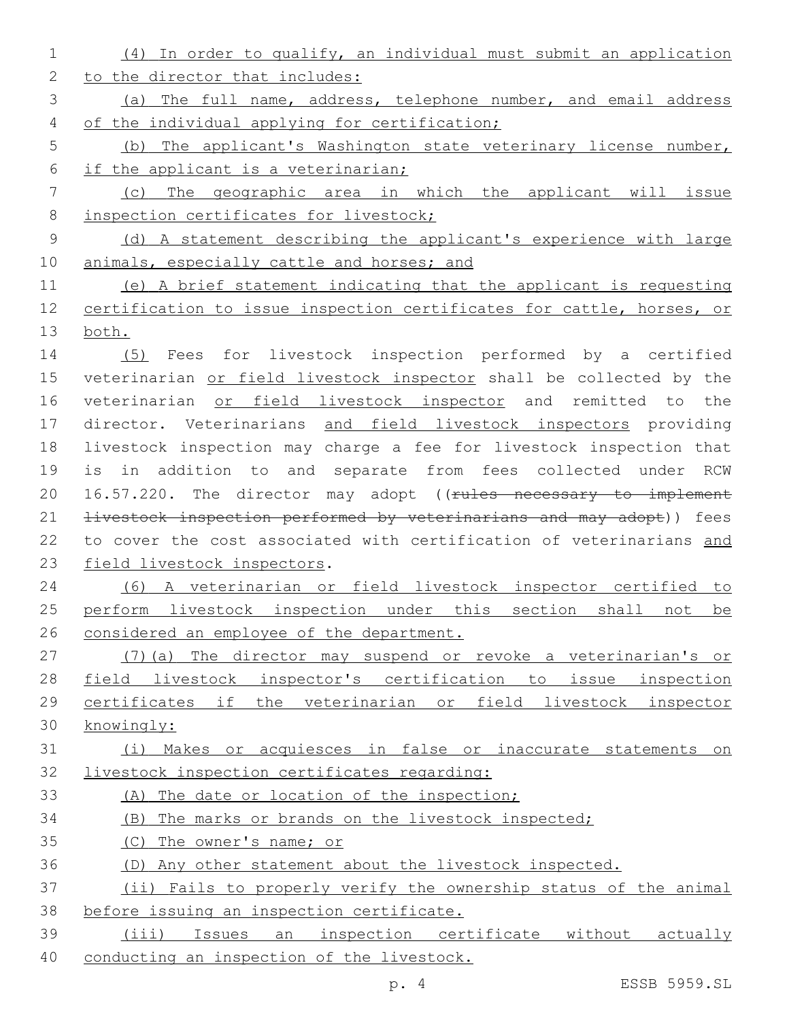| $\mathbf 1$    | (4) In order to qualify, an individual must submit an application     |
|----------------|-----------------------------------------------------------------------|
| $\mathbf{2}$   | to the director that includes:                                        |
| $\mathcal{S}$  | (a) The full name, address, telephone number, and email address       |
| 4              | of the individual applying for certification;                         |
| 5              | (b) The applicant's Washington state veterinary license number,       |
| 6              | if the applicant is a veterinarian;                                   |
| $7\phantom{.}$ | (c) The geographic area in which the applicant will issue             |
| $8\,$          | inspection certificates for livestock;                                |
| 9              | (d) A statement describing the applicant's experience with large      |
| 10             | animals, especially cattle and horses; and                            |
| 11             | (e) A brief statement indicating that the applicant is requesting     |
| 12             | certification to issue inspection certificates for cattle, horses, or |
| 13             | both.                                                                 |
| 14             | (5) Fees for livestock inspection performed by a certified            |
| 15             | veterinarian or field livestock inspector shall be collected by the   |
| 16             | veterinarian or field livestock inspector and remitted to the         |
| 17             | director. Veterinarians and field livestock inspectors providing      |
| 18             | livestock inspection may charge a fee for livestock inspection that   |
| 19             | is in addition to and separate from fees collected under RCW          |
| 20             | 16.57.220. The director may adopt ((rules necessary to implement      |
| 21             | livestock inspection performed by veterinarians and may adopt)) fees  |
| 22             | to cover the cost associated with certification of veterinarians and  |
| 23             | field livestock inspectors.                                           |
| 24             | (6) A veterinarian or field livestock inspector certified to          |
| 25             | perform livestock inspection under this section shall not be          |
| 26             | considered an employee of the department.                             |
| 27             | (7) (a) The director may suspend or revoke a veterinarian's or        |
| 28             | field livestock inspector's certification to issue inspection         |
| 29             | certificates if the veterinarian or field livestock inspector         |
| 30             | knowingly:                                                            |
| 31             | (i) Makes or acquiesces in false or inaccurate statements on          |
| 32             | livestock inspection certificates regarding:                          |
| 33             | (A) The date or location of the inspection;                           |
| 34             | (B) The marks or brands on the livestock inspected;                   |
| 35             | (C) The owner's name; or                                              |
| 36             | (D) Any other statement about the livestock inspected.                |
| 37             | (ii) Fails to properly verify the ownership status of the animal      |
| 38             | before issuing an inspection certificate.                             |
| 39             | Issues an inspection certificate without actually<br>(iii)            |
| 40             | conducting an inspection of the livestock.                            |

p. 4 ESSB 5959.SL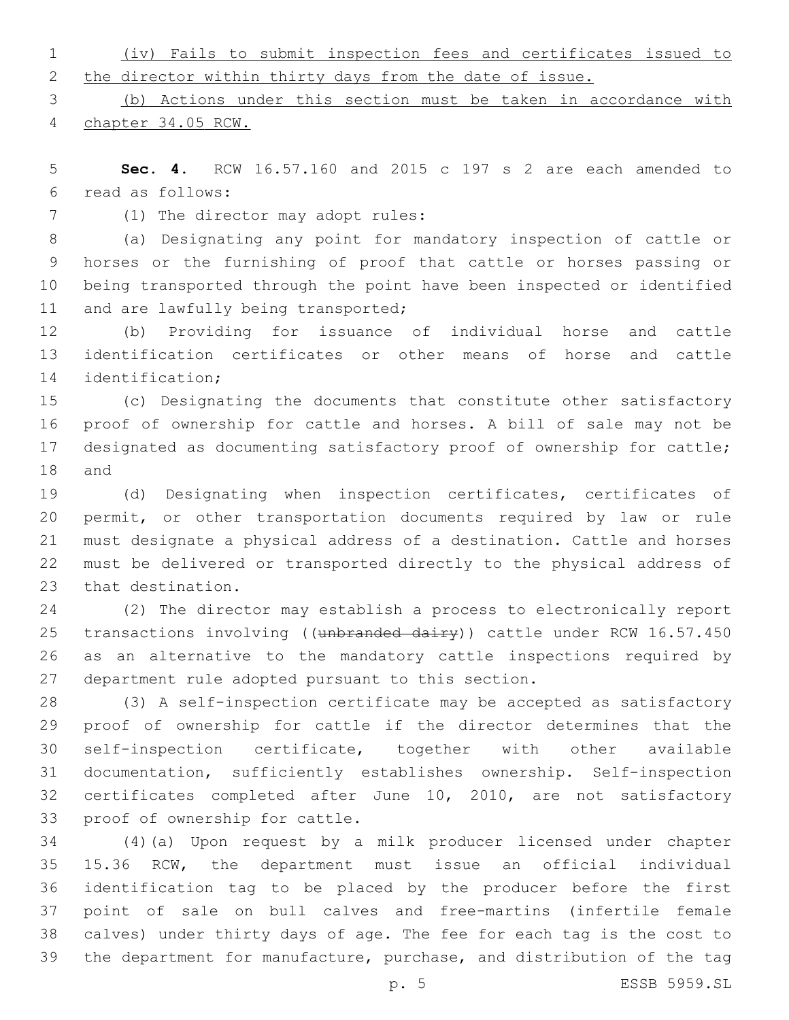|  |  |                                                           |  |  | (iv) Fails to submit inspection fees and certificates issued to |  |
|--|--|-----------------------------------------------------------|--|--|-----------------------------------------------------------------|--|
|  |  | 2 the director within thirty days from the date of issue. |  |  |                                                                 |  |

 (b) Actions under this section must be taken in accordance with chapter 34.05 RCW.

 **Sec. 4.** RCW 16.57.160 and 2015 c 197 s 2 are each amended to read as follows:6

7 (1) The director may adopt rules:

 (a) Designating any point for mandatory inspection of cattle or horses or the furnishing of proof that cattle or horses passing or being transported through the point have been inspected or identified 11 and are lawfully being transported;

 (b) Providing for issuance of individual horse and cattle identification certificates or other means of horse and cattle 14 identification;

 (c) Designating the documents that constitute other satisfactory proof of ownership for cattle and horses. A bill of sale may not be designated as documenting satisfactory proof of ownership for cattle; 18 and

 (d) Designating when inspection certificates, certificates of permit, or other transportation documents required by law or rule must designate a physical address of a destination. Cattle and horses must be delivered or transported directly to the physical address of 23 that destination.

 (2) The director may establish a process to electronically report 25 transactions involving ((unbranded dairy)) cattle under RCW 16.57.450 as an alternative to the mandatory cattle inspections required by 27 department rule adopted pursuant to this section.

 (3) A self-inspection certificate may be accepted as satisfactory proof of ownership for cattle if the director determines that the self-inspection certificate, together with other available documentation, sufficiently establishes ownership. Self-inspection certificates completed after June 10, 2010, are not satisfactory 33 proof of ownership for cattle.

 (4)(a) Upon request by a milk producer licensed under chapter 15.36 RCW, the department must issue an official individual identification tag to be placed by the producer before the first point of sale on bull calves and free-martins (infertile female calves) under thirty days of age. The fee for each tag is the cost to the department for manufacture, purchase, and distribution of the tag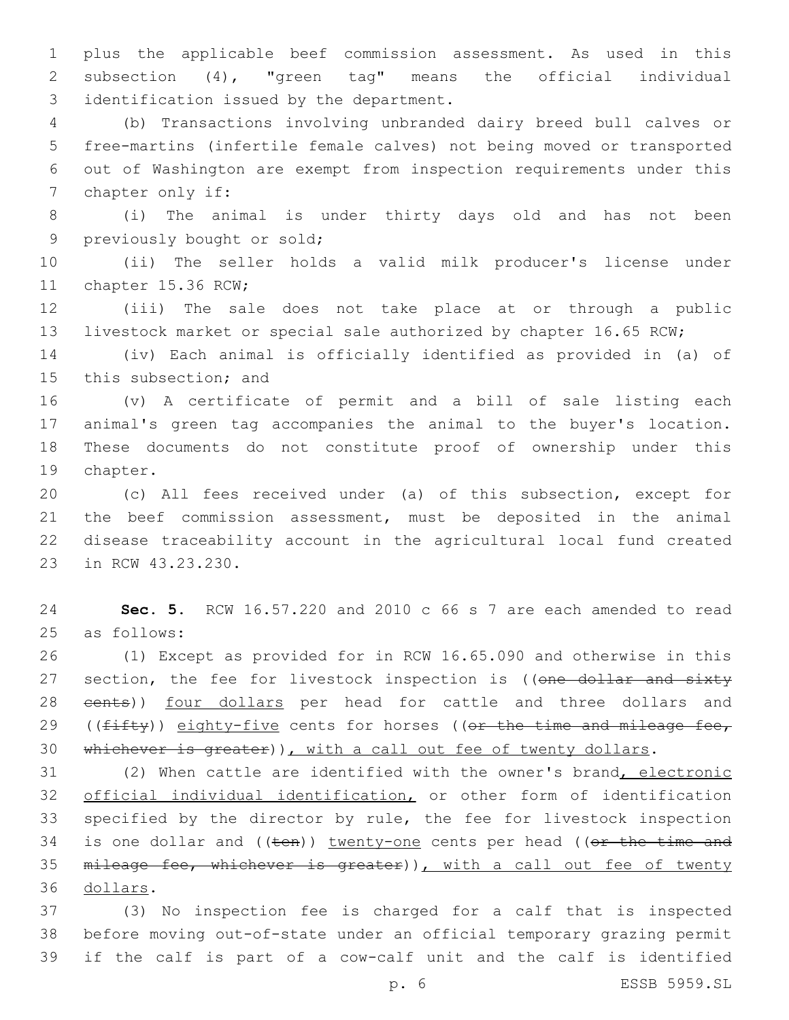1 plus the applicable beef commission assessment. As used in this 2 subsection (4), "green tag" means the official individual 3 identification issued by the department.

 (b) Transactions involving unbranded dairy breed bull calves or free-martins (infertile female calves) not being moved or transported out of Washington are exempt from inspection requirements under this 7 chapter only if:

8 (i) The animal is under thirty days old and has not been 9 previously bought or sold;

10 (ii) The seller holds a valid milk producer's license under 11 chapter 15.36 RCW;

12 (iii) The sale does not take place at or through a public 13 livestock market or special sale authorized by chapter 16.65 RCW;

14 (iv) Each animal is officially identified as provided in (a) of 15 this subsection; and

 (v) A certificate of permit and a bill of sale listing each animal's green tag accompanies the animal to the buyer's location. These documents do not constitute proof of ownership under this 19 chapter.

 (c) All fees received under (a) of this subsection, except for the beef commission assessment, must be deposited in the animal disease traceability account in the agricultural local fund created 23 in RCW 43.23.230.

24 **Sec. 5.** RCW 16.57.220 and 2010 c 66 s 7 are each amended to read 25 as follows:

26 (1) Except as provided for in RCW 16.65.090 and otherwise in this 27 section, the fee for livestock inspection is ((one dollar and sixty 28 eents)) four dollars per head for cattle and three dollars and 29 ((fifty)) eighty-five cents for horses ((or the time and mileage fee, 30 whichever is greater)), with a call out fee of twenty dollars.

31 (2) When cattle are identified with the owner's brand, electronic 32 official individual identification, or other form of identification 33 specified by the director by rule, the fee for livestock inspection 34 is one dollar and ((ten)) twenty-one cents per head ((or the time and 35 mileage fee, whichever is greater)), with a call out fee of twenty dollars.36

37 (3) No inspection fee is charged for a calf that is inspected 38 before moving out-of-state under an official temporary grazing permit 39 if the calf is part of a cow-calf unit and the calf is identified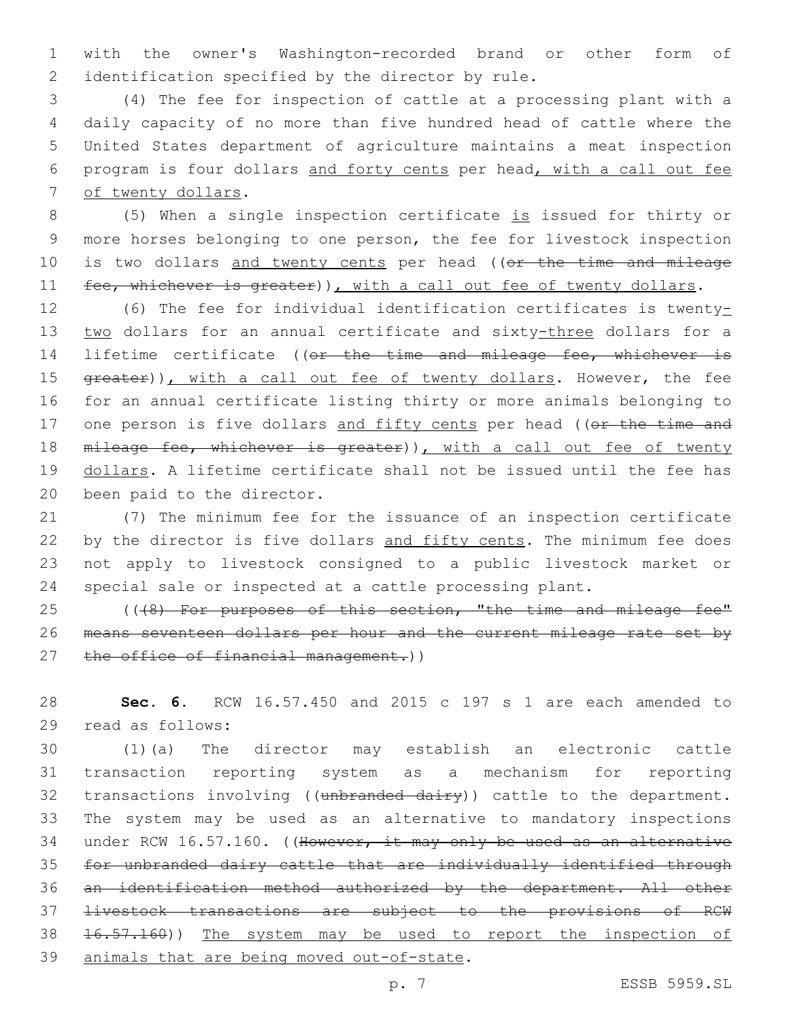1 with the owner's Washington-recorded brand or other form of 2 identification specified by the director by rule.

 (4) The fee for inspection of cattle at a processing plant with a daily capacity of no more than five hundred head of cattle where the United States department of agriculture maintains a meat inspection program is four dollars and forty cents per head, with a call out fee 7 of twenty dollars.

8 (5) When a single inspection certificate is issued for thirty or 9 more horses belonging to one person, the fee for livestock inspection 10 is two dollars and twenty cents per head ((or the time and mileage 11 fee, whichever is greater)), with a call out fee of twenty dollars.

12 (6) The fee for individual identification certificates is twenty-13 two dollars for an annual certificate and sixty-three dollars for a 14 lifetime certificate ((or the time and mileage fee, whichever is 15 greater)), with a call out fee of twenty dollars. However, the fee 16 for an annual certificate listing thirty or more animals belonging to 17 one person is five dollars and fifty cents per head ((or the time and 18 mileage fee, whichever is greater)), with a call out fee of twenty 19 dollars. A lifetime certificate shall not be issued until the fee has 20 been paid to the director.

 (7) The minimum fee for the issuance of an inspection certificate 22 by the director is five dollars and fifty cents. The minimum fee does not apply to livestock consigned to a public livestock market or special sale or inspected at a cattle processing plant.

25 (((8) For purposes of this section, "the time and mileage fee" 26 means seventeen dollars per hour and the current mileage rate set by 27 the office of financial management.))

28 **Sec. 6.** RCW 16.57.450 and 2015 c 197 s 1 are each amended to 29 read as follows:

 (1)(a) The director may establish an electronic cattle transaction reporting system as a mechanism for reporting 32 transactions involving ((unbranded dairy)) cattle to the department. The system may be used as an alternative to mandatory inspections 34 under RCW 16.57.160. ((However, it may only be used as an alternative for unbranded dairy cattle that are individually identified through an identification method authorized by the department. All other livestock transactions are subject to the provisions of RCW 16.57.160)) The system may be used to report the inspection of 39 animals that are being moved out-of-state.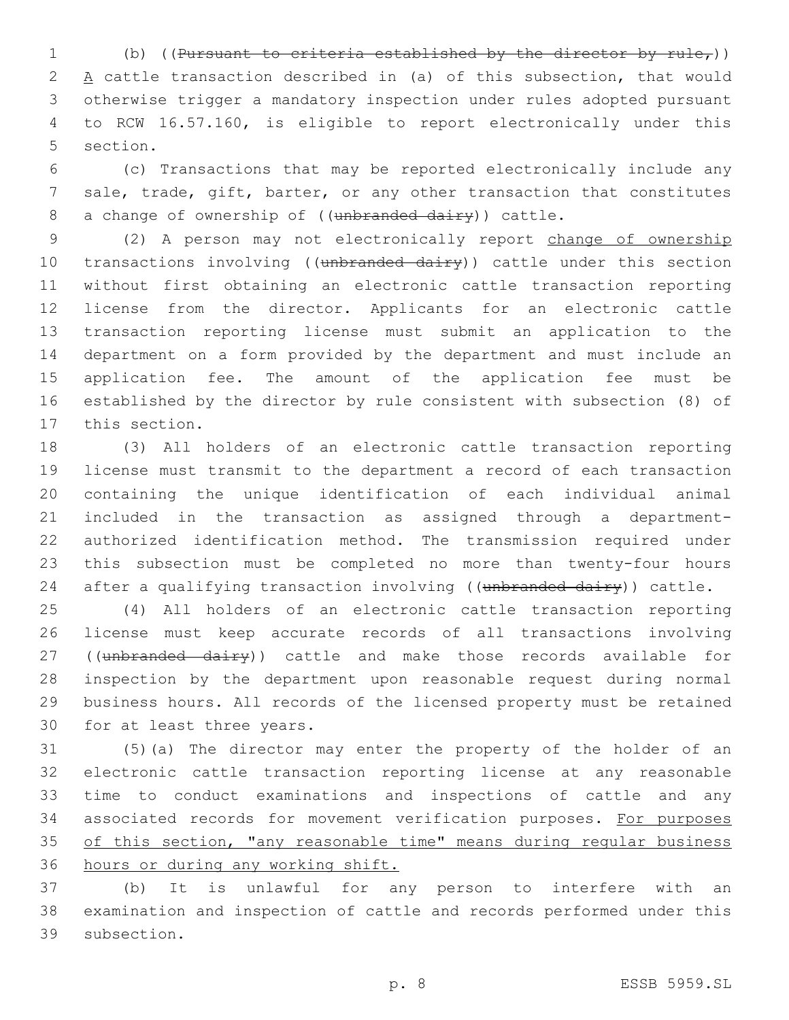1 (b) ((Pursuant to criteria established by the director by  $rule<sub>f</sub>$ )) 2 A cattle transaction described in (a) of this subsection, that would otherwise trigger a mandatory inspection under rules adopted pursuant to RCW 16.57.160, is eligible to report electronically under this 5 section.

 (c) Transactions that may be reported electronically include any sale, trade, gift, barter, or any other transaction that constitutes 8 a change of ownership of ((unbranded dairy)) cattle.

 (2) A person may not electronically report change of ownership 10 transactions involving ((unbranded dairy)) cattle under this section without first obtaining an electronic cattle transaction reporting license from the director. Applicants for an electronic cattle transaction reporting license must submit an application to the department on a form provided by the department and must include an application fee. The amount of the application fee must be established by the director by rule consistent with subsection (8) of 17 this section.

 (3) All holders of an electronic cattle transaction reporting license must transmit to the department a record of each transaction containing the unique identification of each individual animal included in the transaction as assigned through a department- authorized identification method. The transmission required under this subsection must be completed no more than twenty-four hours 24 after a qualifying transaction involving ((unbranded dairy)) cattle.

 (4) All holders of an electronic cattle transaction reporting license must keep accurate records of all transactions involving 27 ((unbranded dairy)) cattle and make those records available for inspection by the department upon reasonable request during normal business hours. All records of the licensed property must be retained 30 for at least three years.

 (5)(a) The director may enter the property of the holder of an electronic cattle transaction reporting license at any reasonable time to conduct examinations and inspections of cattle and any 34 associated records for movement verification purposes. For purposes of this section, "any reasonable time" means during regular business hours or during any working shift.

 (b) It is unlawful for any person to interfere with an examination and inspection of cattle and records performed under this 39 subsection.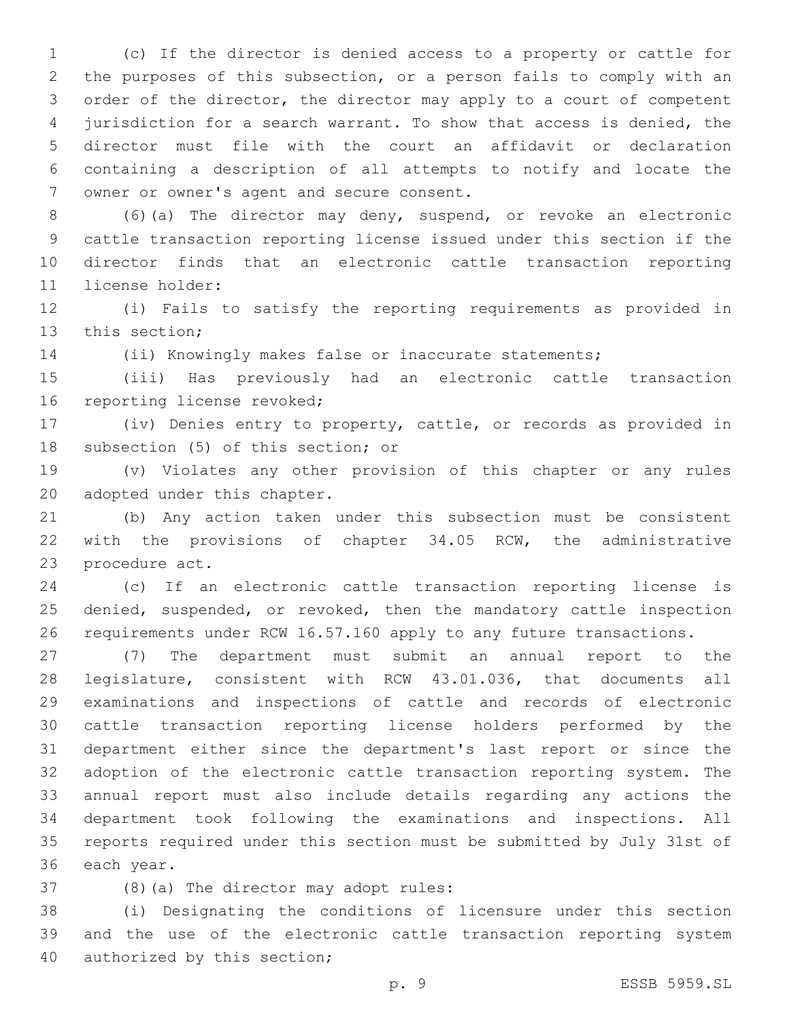(c) If the director is denied access to a property or cattle for the purposes of this subsection, or a person fails to comply with an order of the director, the director may apply to a court of competent jurisdiction for a search warrant. To show that access is denied, the director must file with the court an affidavit or declaration containing a description of all attempts to notify and locate the 7 owner or owner's agent and secure consent.

 (6)(a) The director may deny, suspend, or revoke an electronic cattle transaction reporting license issued under this section if the director finds that an electronic cattle transaction reporting license holder:11

 (i) Fails to satisfy the reporting requirements as provided in 13 this section;

(ii) Knowingly makes false or inaccurate statements;

 (iii) Has previously had an electronic cattle transaction 16 reporting license revoked;

 (iv) Denies entry to property, cattle, or records as provided in 18 subsection (5) of this section; or

 (v) Violates any other provision of this chapter or any rules 20 adopted under this chapter.

 (b) Any action taken under this subsection must be consistent with the provisions of chapter 34.05 RCW, the administrative 23 procedure act.

 (c) If an electronic cattle transaction reporting license is denied, suspended, or revoked, then the mandatory cattle inspection requirements under RCW 16.57.160 apply to any future transactions.

 (7) The department must submit an annual report to the legislature, consistent with RCW 43.01.036, that documents all examinations and inspections of cattle and records of electronic cattle transaction reporting license holders performed by the department either since the department's last report or since the adoption of the electronic cattle transaction reporting system. The annual report must also include details regarding any actions the department took following the examinations and inspections. All reports required under this section must be submitted by July 31st of 36 each year.

37 (8)(a) The director may adopt rules:

 (i) Designating the conditions of licensure under this section and the use of the electronic cattle transaction reporting system 40 authorized by this section;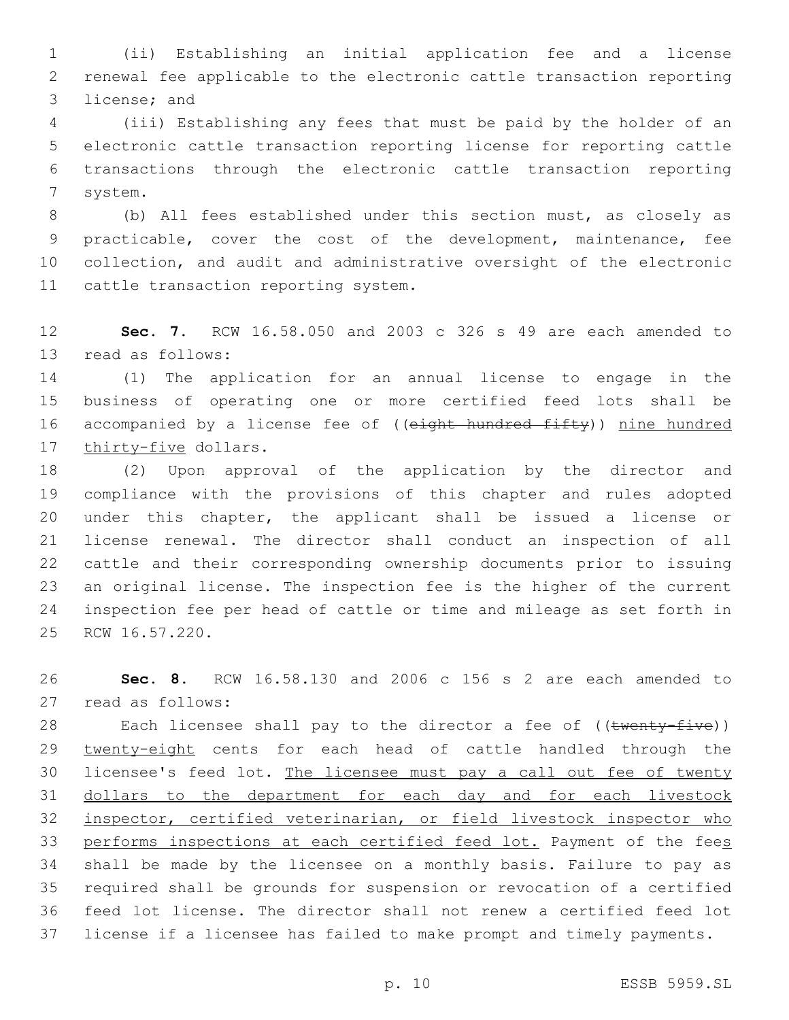(ii) Establishing an initial application fee and a license renewal fee applicable to the electronic cattle transaction reporting 3 license; and

 (iii) Establishing any fees that must be paid by the holder of an electronic cattle transaction reporting license for reporting cattle transactions through the electronic cattle transaction reporting 7 system.

 (b) All fees established under this section must, as closely as practicable, cover the cost of the development, maintenance, fee collection, and audit and administrative oversight of the electronic 11 cattle transaction reporting system.

 **Sec. 7.** RCW 16.58.050 and 2003 c 326 s 49 are each amended to 13 read as follows:

 (1) The application for an annual license to engage in the business of operating one or more certified feed lots shall be 16 accompanied by a license fee of ((eight hundred fifty)) nine hundred 17 thirty-five dollars.

 (2) Upon approval of the application by the director and compliance with the provisions of this chapter and rules adopted under this chapter, the applicant shall be issued a license or license renewal. The director shall conduct an inspection of all cattle and their corresponding ownership documents prior to issuing an original license. The inspection fee is the higher of the current inspection fee per head of cattle or time and mileage as set forth in 25 RCW 16.57.220.

 **Sec. 8.** RCW 16.58.130 and 2006 c 156 s 2 are each amended to read as follows:27

28 Each licensee shall pay to the director a fee of ((twenty-five)) 29 twenty-eight cents for each head of cattle handled through the 30 licensee's feed lot. The licensee must pay a call out fee of twenty dollars to the department for each day and for each livestock inspector, certified veterinarian, or field livestock inspector who 33 performs inspections at each certified feed lot. Payment of the fees shall be made by the licensee on a monthly basis. Failure to pay as required shall be grounds for suspension or revocation of a certified feed lot license. The director shall not renew a certified feed lot license if a licensee has failed to make prompt and timely payments.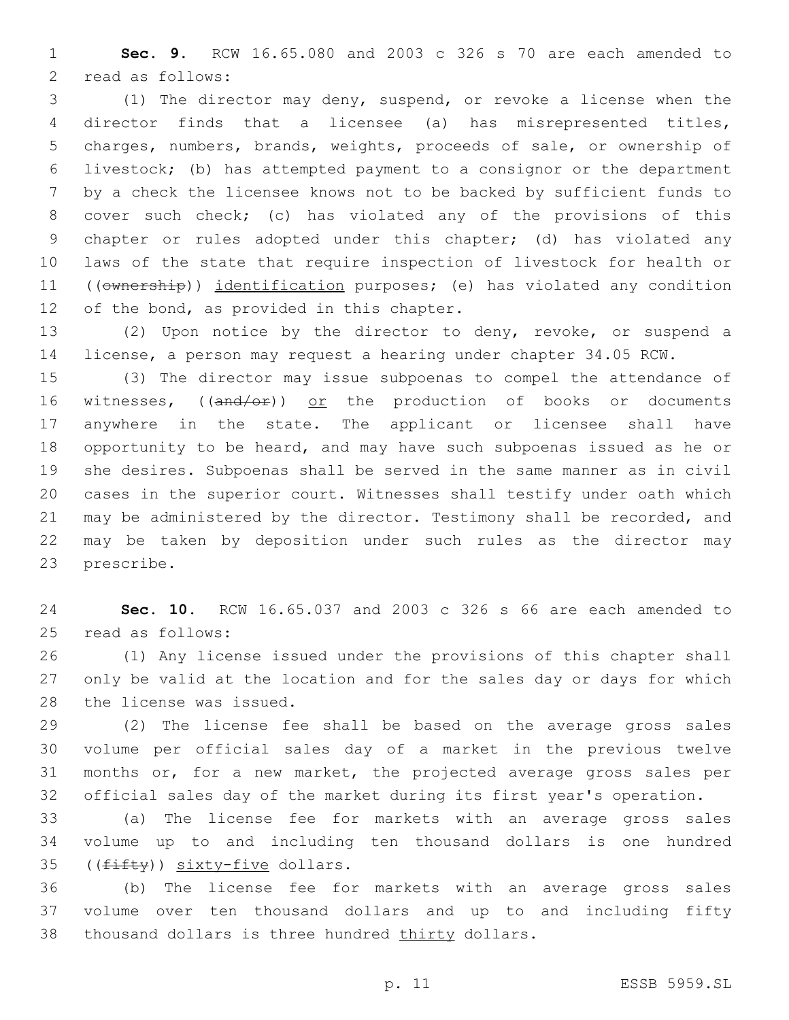**Sec. 9.** RCW 16.65.080 and 2003 c 326 s 70 are each amended to 2 read as follows:

 (1) The director may deny, suspend, or revoke a license when the director finds that a licensee (a) has misrepresented titles, charges, numbers, brands, weights, proceeds of sale, or ownership of livestock; (b) has attempted payment to a consignor or the department by a check the licensee knows not to be backed by sufficient funds to cover such check; (c) has violated any of the provisions of this chapter or rules adopted under this chapter; (d) has violated any laws of the state that require inspection of livestock for health or 11 ((ownership)) identification purposes; (e) has violated any condition 12 of the bond, as provided in this chapter.

 (2) Upon notice by the director to deny, revoke, or suspend a license, a person may request a hearing under chapter 34.05 RCW.

 (3) The director may issue subpoenas to compel the attendance of 16 witnesses,  $((and/or))$  or the production of books or documents anywhere in the state. The applicant or licensee shall have opportunity to be heard, and may have such subpoenas issued as he or she desires. Subpoenas shall be served in the same manner as in civil cases in the superior court. Witnesses shall testify under oath which may be administered by the director. Testimony shall be recorded, and may be taken by deposition under such rules as the director may 23 prescribe.

 **Sec. 10.** RCW 16.65.037 and 2003 c 326 s 66 are each amended to 25 read as follows:

 (1) Any license issued under the provisions of this chapter shall only be valid at the location and for the sales day or days for which 28 the license was issued.

 (2) The license fee shall be based on the average gross sales volume per official sales day of a market in the previous twelve months or, for a new market, the projected average gross sales per official sales day of the market during its first year's operation.

 (a) The license fee for markets with an average gross sales volume up to and including ten thousand dollars is one hundred  $($ ( $f$ ifty)) sixty-five dollars.

 (b) The license fee for markets with an average gross sales volume over ten thousand dollars and up to and including fifty 38 thousand dollars is three hundred thirty dollars.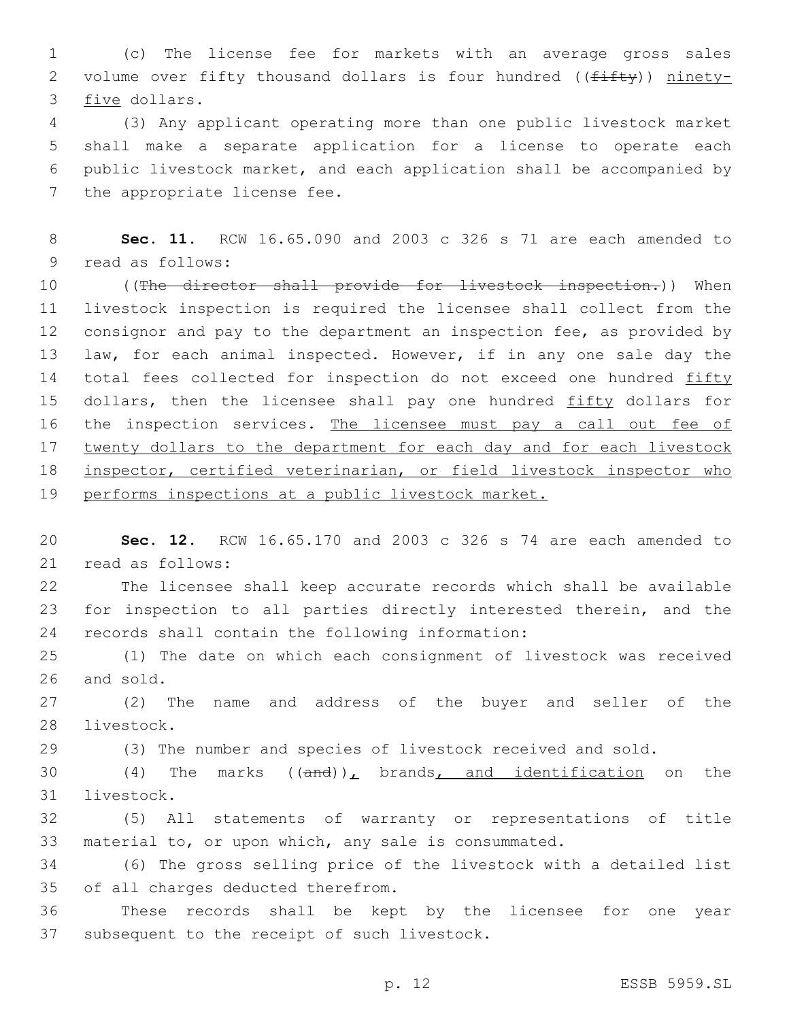1 (c) The license fee for markets with an average gross sales 2 volume over fifty thousand dollars is four hundred ((fifty)) ninety-3 five dollars.

 (3) Any applicant operating more than one public livestock market shall make a separate application for a license to operate each public livestock market, and each application shall be accompanied by 7 the appropriate license fee.

8 **Sec. 11.** RCW 16.65.090 and 2003 c 326 s 71 are each amended to 9 read as follows:

10 ((The director shall provide for livestock inspection.)) When 11 livestock inspection is required the licensee shall collect from the 12 consignor and pay to the department an inspection fee, as provided by 13 law, for each animal inspected. However, if in any one sale day the 14 total fees collected for inspection do not exceed one hundred fifty 15 dollars, then the licensee shall pay one hundred fifty dollars for 16 the inspection services. The licensee must pay a call out fee of 17 twenty dollars to the department for each day and for each livestock 18 inspector, certified veterinarian, or field livestock inspector who 19 performs inspections at a public livestock market.

20 **Sec. 12.** RCW 16.65.170 and 2003 c 326 s 74 are each amended to 21 read as follows:

22 The licensee shall keep accurate records which shall be available 23 for inspection to all parties directly interested therein, and the 24 records shall contain the following information:

25 (1) The date on which each consignment of livestock was received 26 and sold.

27 (2) The name and address of the buyer and seller of the 28 livestock.

29 (3) The number and species of livestock received and sold.

30  $(4)$  The marks  $((and))_L$  brands, and identification on the 31 livestock.

32 (5) All statements of warranty or representations of title 33 material to, or upon which, any sale is consummated.

34 (6) The gross selling price of the livestock with a detailed list 35 of all charges deducted therefrom.

36 These records shall be kept by the licensee for one year 37 subsequent to the receipt of such livestock.